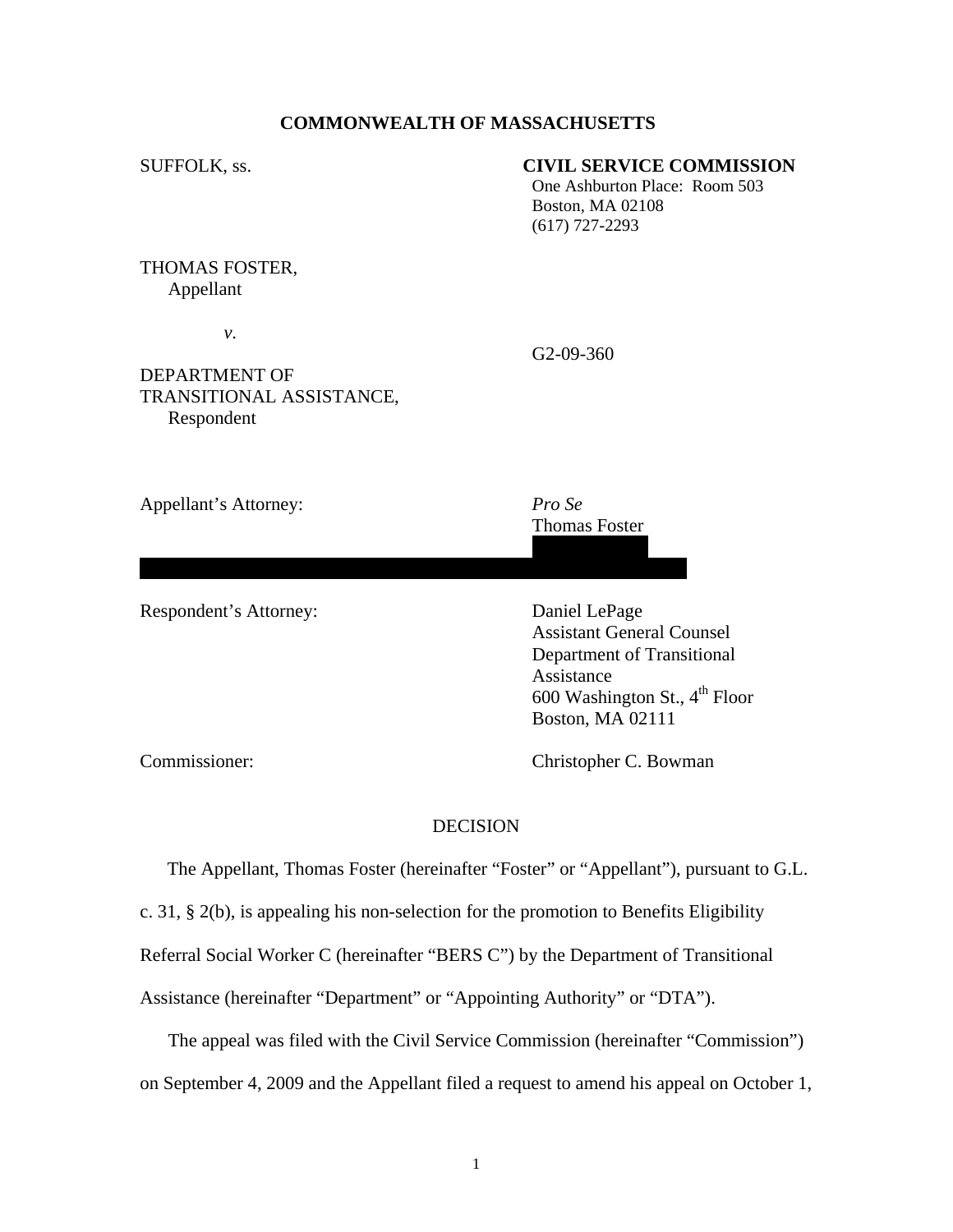### **COMMONWEALTH OF MASSACHUSETTS**

### SUFFOLK, ss. **CIVIL SERVICE COMMISSION**

One Ashburton Place: Room 503 Boston, MA 02108 (617) 727-2293

## THOMAS FOSTER, Appellant

 *v.* 

G2-09-360

# DEPARTMENT OF TRANSITIONAL ASSISTANCE, Respondent

Appellant's Attorney: *Pro Se* 

 Thomas Foster 11 Cheryl Lane

Billerica, MA 01821

Respondent's Attorney: Daniel LePage

 Assistant General Counsel Department of Transitional Assistance 600 Washington St.,  $4^{th}$  Floor Boston, MA 02111

Commissioner: Christopher C. Bowman

### **DECISION**

The Appellant, Thomas Foster (hereinafter "Foster" or "Appellant"), pursuant to G.L.

c. 31, § 2(b), is appealing his non-selection for the promotion to Benefits Eligibility

Referral Social Worker C (hereinafter "BERS C") by the Department of Transitional

Assistance (hereinafter "Department" or "Appointing Authority" or "DTA").

The appeal was filed with the Civil Service Commission (hereinafter "Commission")

on September 4, 2009 and the Appellant filed a request to amend his appeal on October 1,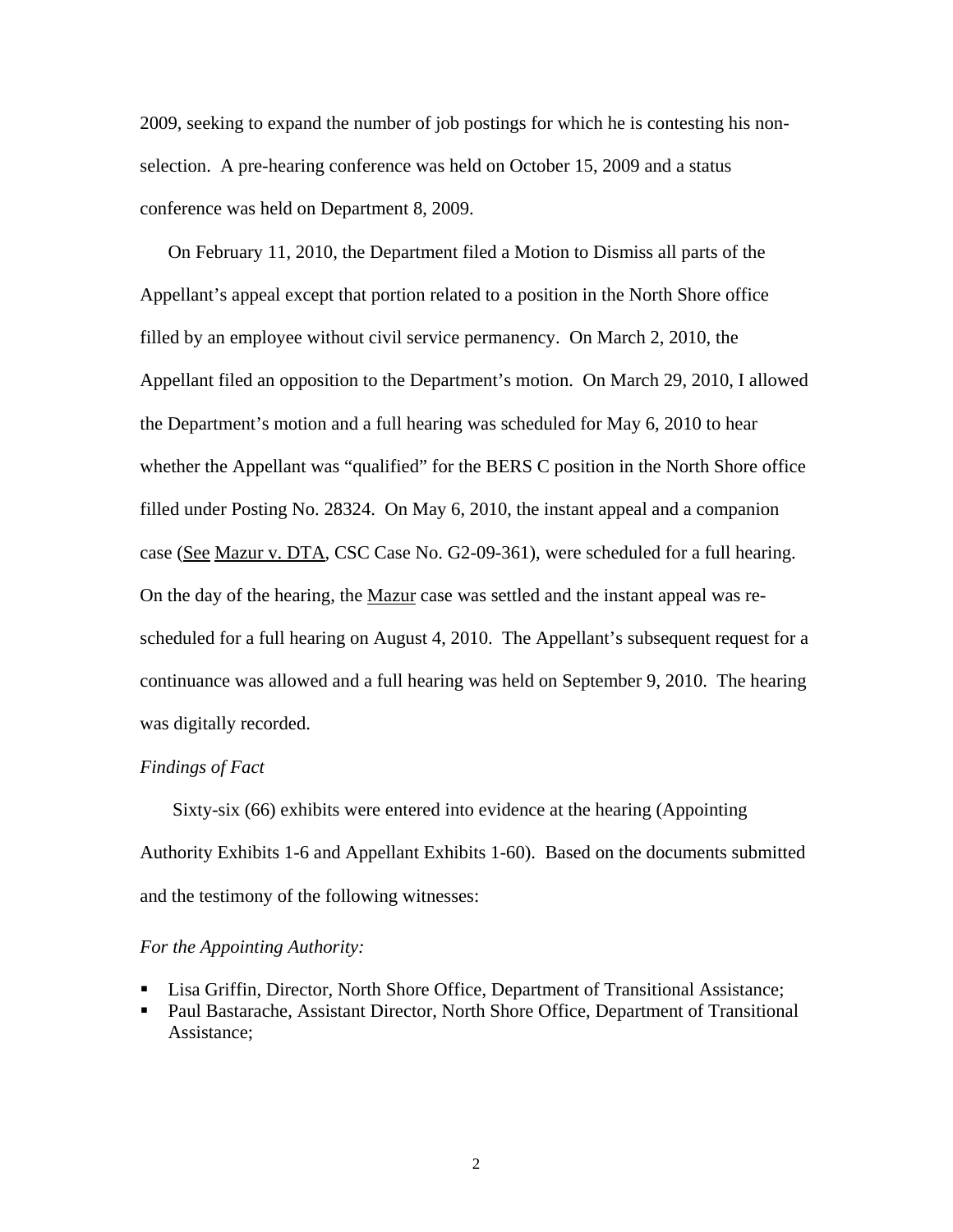2009, seeking to expand the number of job postings for which he is contesting his nonselection. A pre-hearing conference was held on October 15, 2009 and a status conference was held on Department 8, 2009.

On February 11, 2010, the Department filed a Motion to Dismiss all parts of the Appellant's appeal except that portion related to a position in the North Shore office filled by an employee without civil service permanency. On March 2, 2010, the Appellant filed an opposition to the Department's motion. On March 29, 2010, I allowed the Department's motion and a full hearing was scheduled for May 6, 2010 to hear whether the Appellant was "qualified" for the BERS C position in the North Shore office filled under Posting No. 28324. On May 6, 2010, the instant appeal and a companion case (See Mazur v. DTA, CSC Case No. G2-09-361), were scheduled for a full hearing. On the day of the hearing, the Mazur case was settled and the instant appeal was rescheduled for a full hearing on August 4, 2010. The Appellant's subsequent request for a continuance was allowed and a full hearing was held on September 9, 2010. The hearing was digitally recorded.

### *Findings of Fact*

 Sixty-six (66) exhibits were entered into evidence at the hearing (Appointing Authority Exhibits 1-6 and Appellant Exhibits 1-60). Based on the documents submitted and the testimony of the following witnesses:

#### *For the Appointing Authority:*

- Lisa Griffin, Director, North Shore Office, Department of Transitional Assistance;
- Paul Bastarache, Assistant Director, North Shore Office, Department of Transitional Assistance;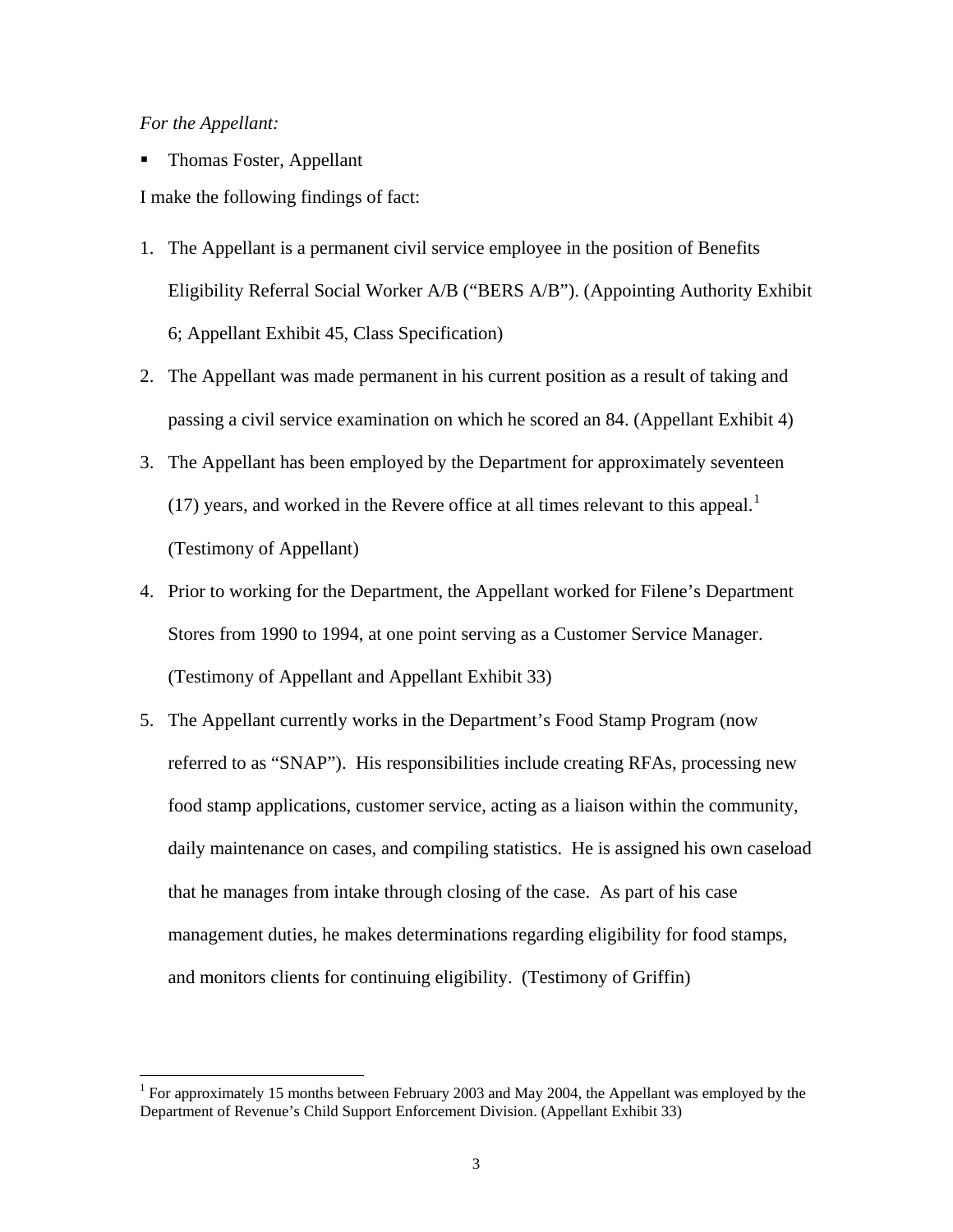## *For the Appellant:*

 $\overline{a}$ 

Thomas Foster, Appellant

I make the following findings of fact:

- 1. The Appellant is a permanent civil service employee in the position of Benefits Eligibility Referral Social Worker A/B ("BERS A/B"). (Appointing Authority Exhibit 6; Appellant Exhibit 45, Class Specification)
- 2. The Appellant was made permanent in his current position as a result of taking and passing a civil service examination on which he scored an 84. (Appellant Exhibit 4)
- 3. The Appellant has been employed by the Department for approximately seventeen ([1](#page-2-0)7) years, and worked in the Revere office at all times relevant to this appeal.<sup>1</sup> (Testimony of Appellant)
- 4. Prior to working for the Department, the Appellant worked for Filene's Department Stores from 1990 to 1994, at one point serving as a Customer Service Manager. (Testimony of Appellant and Appellant Exhibit 33)
- 5. The Appellant currently works in the Department's Food Stamp Program (now referred to as "SNAP"). His responsibilities include creating RFAs, processing new food stamp applications, customer service, acting as a liaison within the community, daily maintenance on cases, and compiling statistics. He is assigned his own caseload that he manages from intake through closing of the case. As part of his case management duties, he makes determinations regarding eligibility for food stamps, and monitors clients for continuing eligibility. (Testimony of Griffin)

<span id="page-2-0"></span><sup>&</sup>lt;sup>1</sup> For approximately 15 months between February 2003 and May 2004, the Appellant was employed by the Department of Revenue's Child Support Enforcement Division. (Appellant Exhibit 33)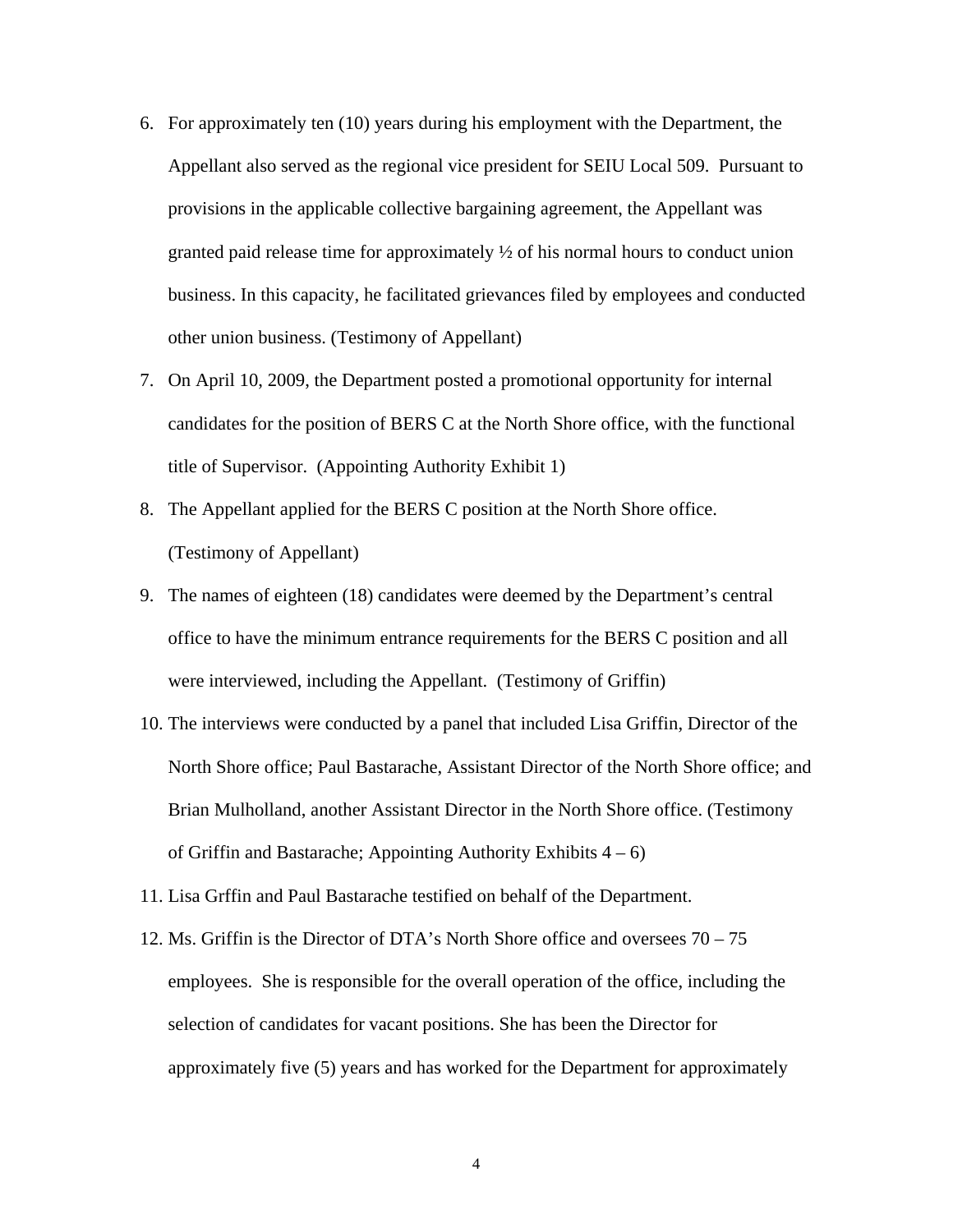- 6. For approximately ten (10) years during his employment with the Department, the Appellant also served as the regional vice president for SEIU Local 509. Pursuant to provisions in the applicable collective bargaining agreement, the Appellant was granted paid release time for approximately  $\frac{1}{2}$  of his normal hours to conduct union business. In this capacity, he facilitated grievances filed by employees and conducted other union business. (Testimony of Appellant)
- 7. On April 10, 2009, the Department posted a promotional opportunity for internal candidates for the position of BERS C at the North Shore office, with the functional title of Supervisor. (Appointing Authority Exhibit 1)
- 8. The Appellant applied for the BERS C position at the North Shore office. (Testimony of Appellant)
- 9. The names of eighteen (18) candidates were deemed by the Department's central office to have the minimum entrance requirements for the BERS C position and all were interviewed, including the Appellant. (Testimony of Griffin)
- 10. The interviews were conducted by a panel that included Lisa Griffin, Director of the North Shore office; Paul Bastarache, Assistant Director of the North Shore office; and Brian Mulholland, another Assistant Director in the North Shore office. (Testimony of Griffin and Bastarache; Appointing Authority Exhibits  $4 - 6$ )
- 11. Lisa Grffin and Paul Bastarache testified on behalf of the Department.
- 12. Ms. Griffin is the Director of DTA's North Shore office and oversees 70 75 employees. She is responsible for the overall operation of the office, including the selection of candidates for vacant positions. She has been the Director for approximately five (5) years and has worked for the Department for approximately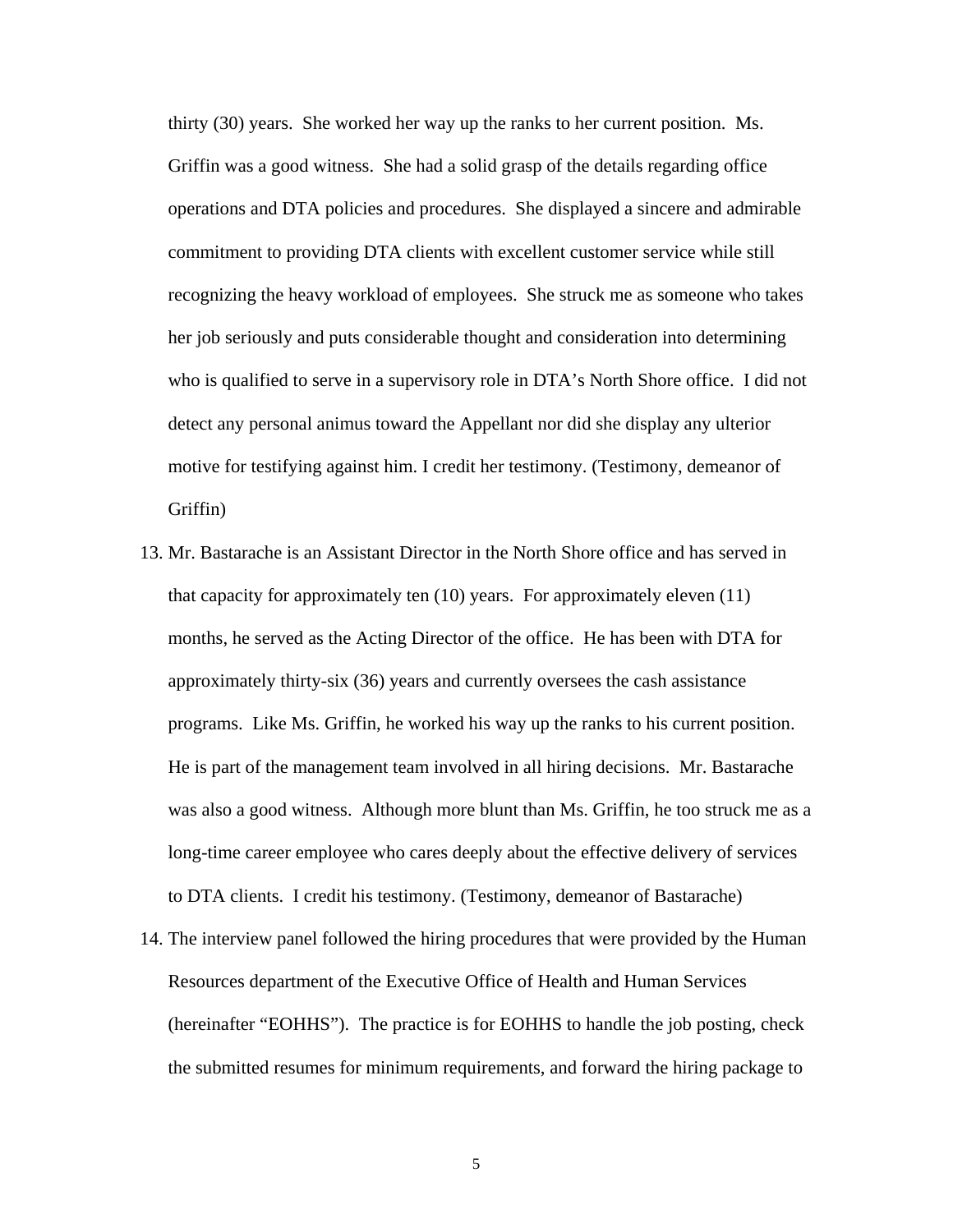thirty (30) years. She worked her way up the ranks to her current position. Ms. Griffin was a good witness. She had a solid grasp of the details regarding office operations and DTA policies and procedures. She displayed a sincere and admirable commitment to providing DTA clients with excellent customer service while still recognizing the heavy workload of employees. She struck me as someone who takes her job seriously and puts considerable thought and consideration into determining who is qualified to serve in a supervisory role in DTA's North Shore office. I did not detect any personal animus toward the Appellant nor did she display any ulterior motive for testifying against him. I credit her testimony. (Testimony, demeanor of Griffin)

- 13. Mr. Bastarache is an Assistant Director in the North Shore office and has served in that capacity for approximately ten (10) years. For approximately eleven (11) months, he served as the Acting Director of the office. He has been with DTA for approximately thirty-six (36) years and currently oversees the cash assistance programs. Like Ms. Griffin, he worked his way up the ranks to his current position. He is part of the management team involved in all hiring decisions. Mr. Bastarache was also a good witness. Although more blunt than Ms. Griffin, he too struck me as a long-time career employee who cares deeply about the effective delivery of services to DTA clients. I credit his testimony. (Testimony, demeanor of Bastarache)
- 14. The interview panel followed the hiring procedures that were provided by the Human Resources department of the Executive Office of Health and Human Services (hereinafter "EOHHS"). The practice is for EOHHS to handle the job posting, check the submitted resumes for minimum requirements, and forward the hiring package to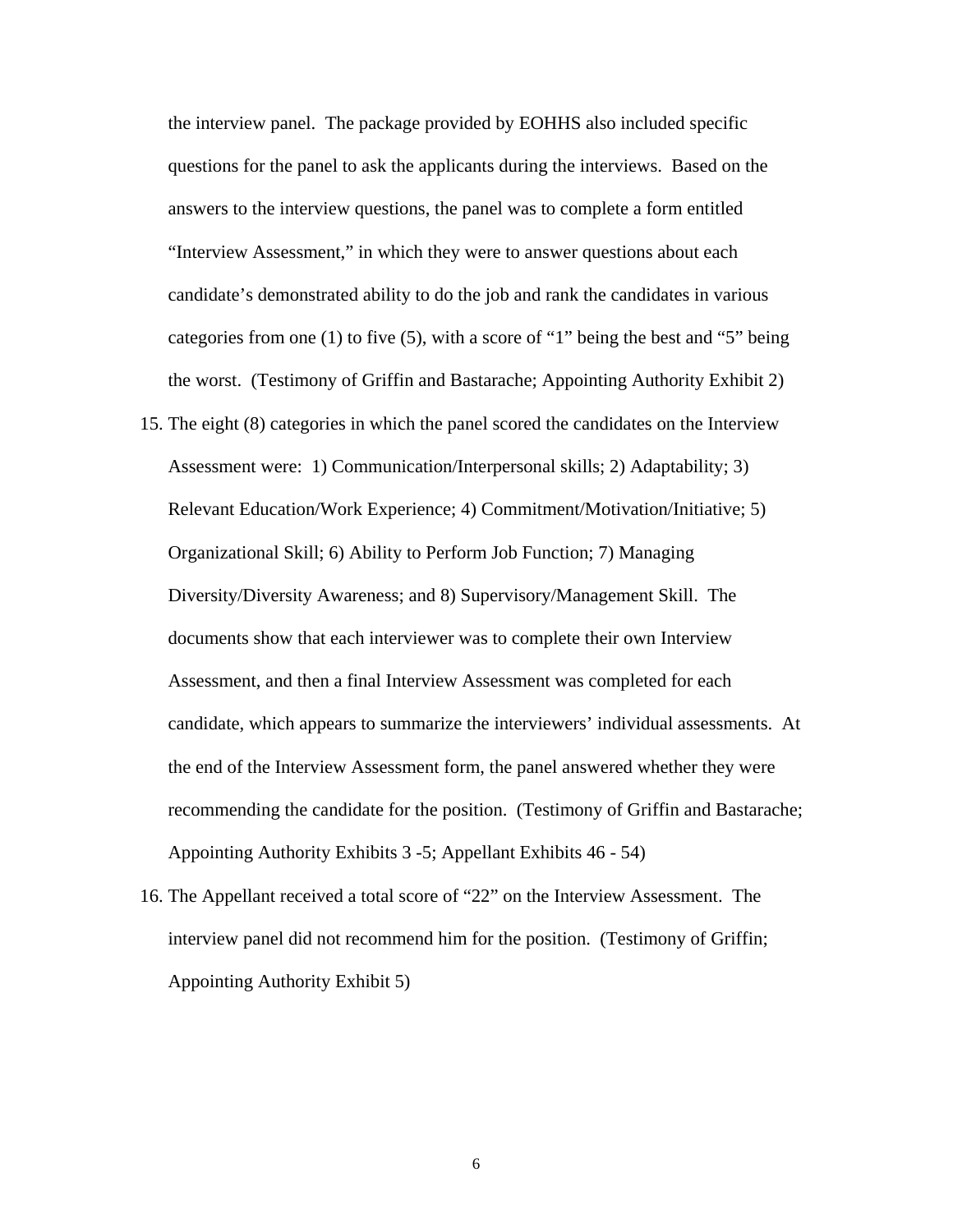the interview panel. The package provided by EOHHS also included specific questions for the panel to ask the applicants during the interviews. Based on the answers to the interview questions, the panel was to complete a form entitled "Interview Assessment," in which they were to answer questions about each candidate's demonstrated ability to do the job and rank the candidates in various categories from one (1) to five (5), with a score of "1" being the best and "5" being the worst. (Testimony of Griffin and Bastarache; Appointing Authority Exhibit 2)

- 15. The eight (8) categories in which the panel scored the candidates on the Interview Assessment were: 1) Communication/Interpersonal skills; 2) Adaptability; 3) Relevant Education/Work Experience; 4) Commitment/Motivation/Initiative; 5) Organizational Skill; 6) Ability to Perform Job Function; 7) Managing Diversity/Diversity Awareness; and 8) Supervisory/Management Skill. The documents show that each interviewer was to complete their own Interview Assessment, and then a final Interview Assessment was completed for each candidate, which appears to summarize the interviewers' individual assessments. At the end of the Interview Assessment form, the panel answered whether they were recommending the candidate for the position. (Testimony of Griffin and Bastarache; Appointing Authority Exhibits 3 -5; Appellant Exhibits 46 - 54)
- 16. The Appellant received a total score of "22" on the Interview Assessment. The interview panel did not recommend him for the position. (Testimony of Griffin; Appointing Authority Exhibit 5)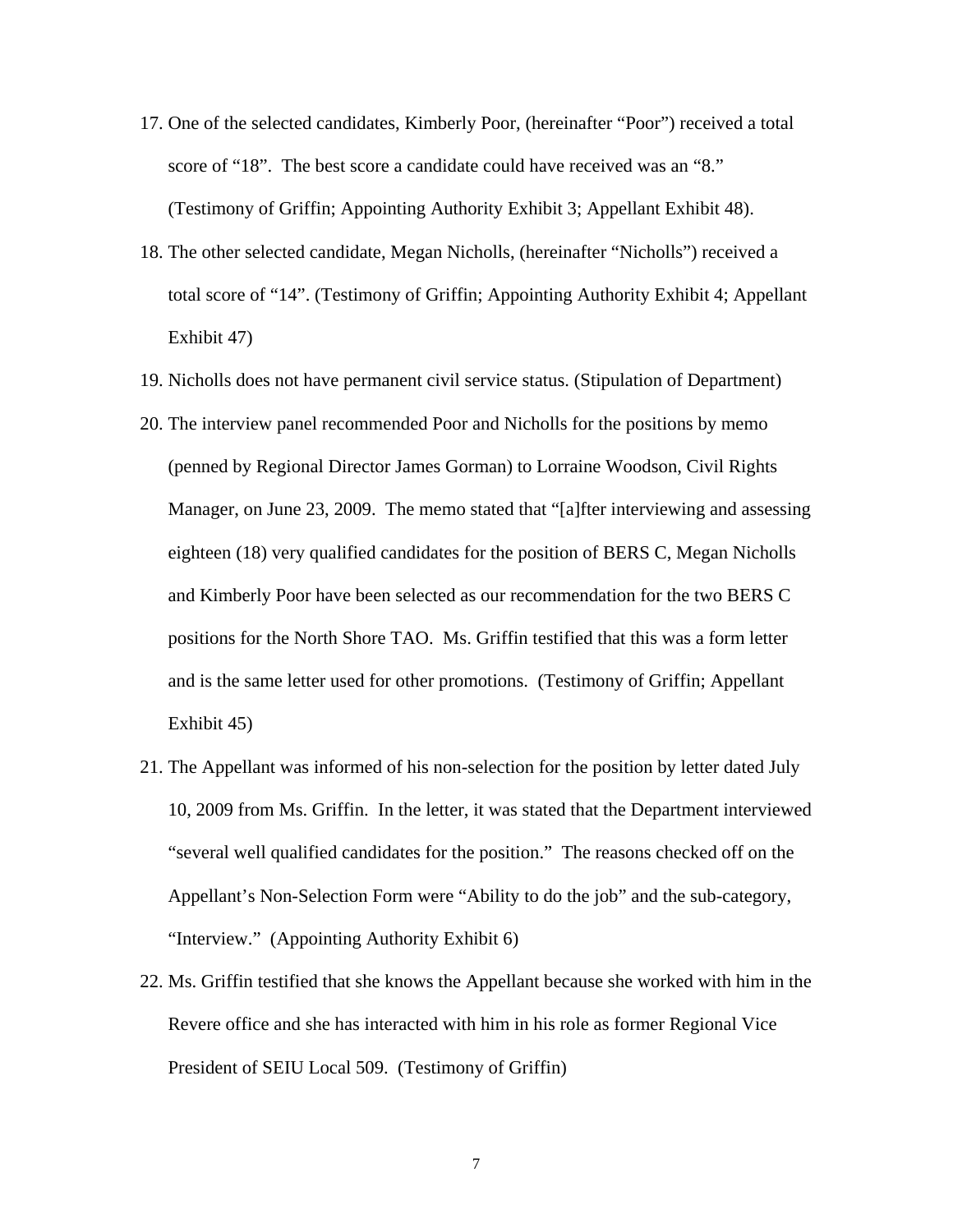- 17. One of the selected candidates, Kimberly Poor, (hereinafter "Poor") received a total score of "18". The best score a candidate could have received was an "8." (Testimony of Griffin; Appointing Authority Exhibit 3; Appellant Exhibit 48).
- 18. The other selected candidate, Megan Nicholls, (hereinafter "Nicholls") received a total score of "14". (Testimony of Griffin; Appointing Authority Exhibit 4; Appellant Exhibit 47)
- 19. Nicholls does not have permanent civil service status. (Stipulation of Department)
- 20. The interview panel recommended Poor and Nicholls for the positions by memo (penned by Regional Director James Gorman) to Lorraine Woodson, Civil Rights Manager, on June 23, 2009. The memo stated that "[a]fter interviewing and assessing eighteen (18) very qualified candidates for the position of BERS C, Megan Nicholls and Kimberly Poor have been selected as our recommendation for the two BERS C positions for the North Shore TAO. Ms. Griffin testified that this was a form letter and is the same letter used for other promotions. (Testimony of Griffin; Appellant Exhibit 45)
- 21. The Appellant was informed of his non-selection for the position by letter dated July 10, 2009 from Ms. Griffin. In the letter, it was stated that the Department interviewed "several well qualified candidates for the position." The reasons checked off on the Appellant's Non-Selection Form were "Ability to do the job" and the sub-category, "Interview." (Appointing Authority Exhibit 6)
- 22. Ms. Griffin testified that she knows the Appellant because she worked with him in the Revere office and she has interacted with him in his role as former Regional Vice President of SEIU Local 509. (Testimony of Griffin)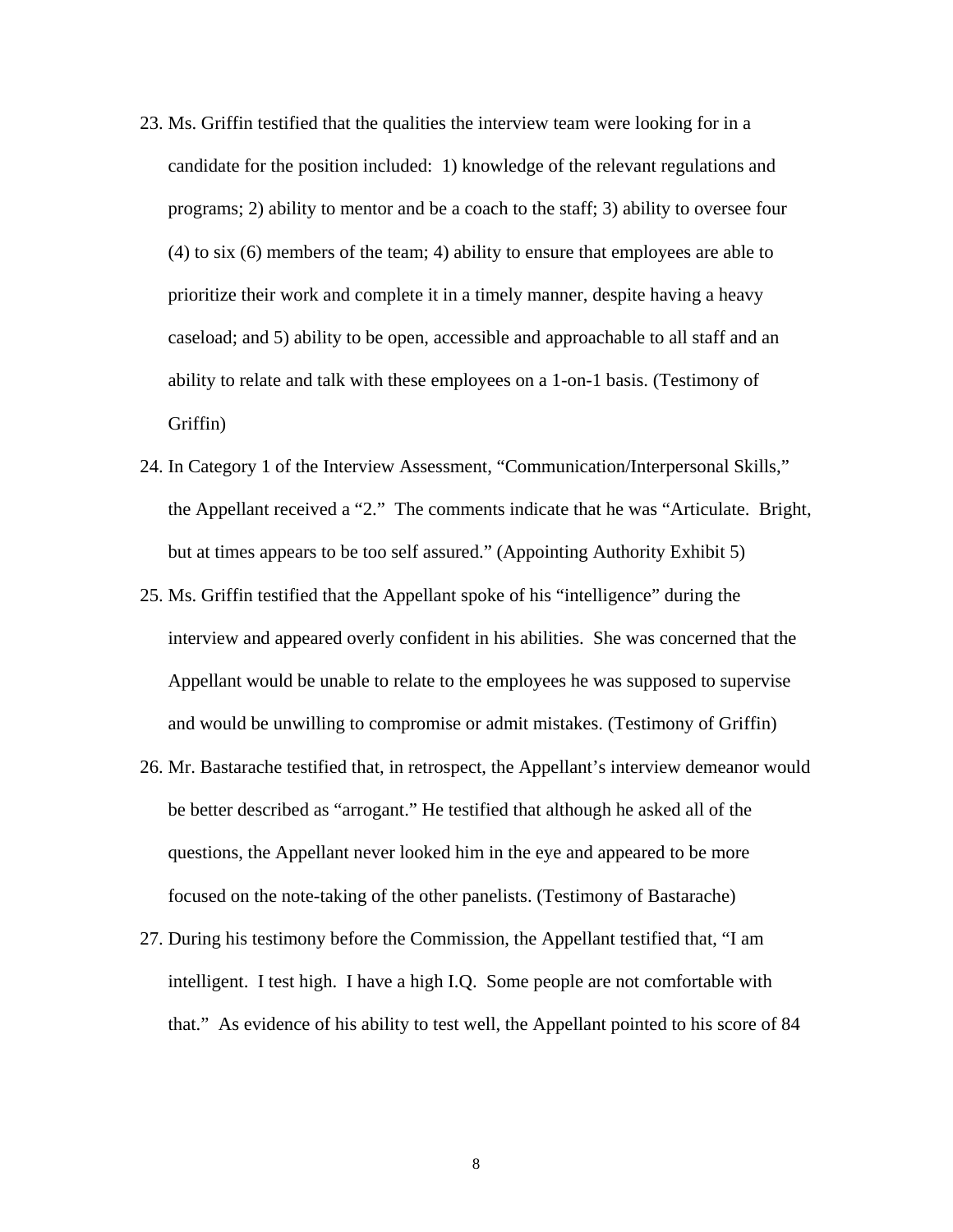- 23. Ms. Griffin testified that the qualities the interview team were looking for in a candidate for the position included: 1) knowledge of the relevant regulations and programs; 2) ability to mentor and be a coach to the staff; 3) ability to oversee four (4) to six (6) members of the team; 4) ability to ensure that employees are able to prioritize their work and complete it in a timely manner, despite having a heavy caseload; and 5) ability to be open, accessible and approachable to all staff and an ability to relate and talk with these employees on a 1-on-1 basis. (Testimony of Griffin)
- 24. In Category 1 of the Interview Assessment, "Communication/Interpersonal Skills," the Appellant received a "2." The comments indicate that he was "Articulate. Bright, but at times appears to be too self assured." (Appointing Authority Exhibit 5)
- 25. Ms. Griffin testified that the Appellant spoke of his "intelligence" during the interview and appeared overly confident in his abilities. She was concerned that the Appellant would be unable to relate to the employees he was supposed to supervise and would be unwilling to compromise or admit mistakes. (Testimony of Griffin)
- 26. Mr. Bastarache testified that, in retrospect, the Appellant's interview demeanor would be better described as "arrogant." He testified that although he asked all of the questions, the Appellant never looked him in the eye and appeared to be more focused on the note-taking of the other panelists. (Testimony of Bastarache)
- 27. During his testimony before the Commission, the Appellant testified that, "I am intelligent. I test high. I have a high I.Q. Some people are not comfortable with that." As evidence of his ability to test well, the Appellant pointed to his score of 84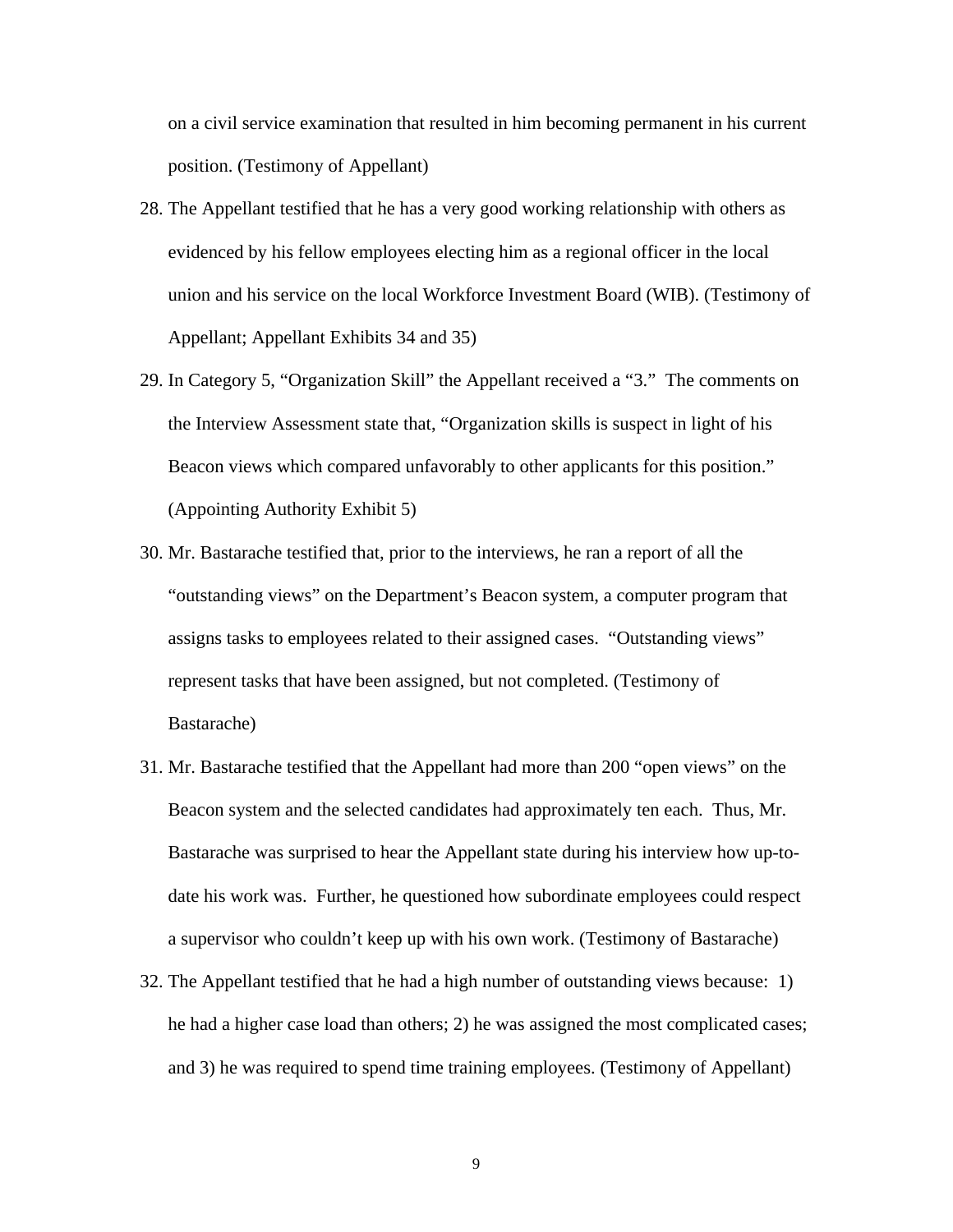on a civil service examination that resulted in him becoming permanent in his current position. (Testimony of Appellant)

- 28. The Appellant testified that he has a very good working relationship with others as evidenced by his fellow employees electing him as a regional officer in the local union and his service on the local Workforce Investment Board (WIB). (Testimony of Appellant; Appellant Exhibits 34 and 35)
- 29. In Category 5, "Organization Skill" the Appellant received a "3." The comments on the Interview Assessment state that, "Organization skills is suspect in light of his Beacon views which compared unfavorably to other applicants for this position." (Appointing Authority Exhibit 5)
- 30. Mr. Bastarache testified that, prior to the interviews, he ran a report of all the "outstanding views" on the Department's Beacon system, a computer program that assigns tasks to employees related to their assigned cases. "Outstanding views" represent tasks that have been assigned, but not completed. (Testimony of Bastarache)
- 31. Mr. Bastarache testified that the Appellant had more than 200 "open views" on the Beacon system and the selected candidates had approximately ten each. Thus, Mr. Bastarache was surprised to hear the Appellant state during his interview how up-todate his work was. Further, he questioned how subordinate employees could respect a supervisor who couldn't keep up with his own work. (Testimony of Bastarache)
- 32. The Appellant testified that he had a high number of outstanding views because: 1) he had a higher case load than others; 2) he was assigned the most complicated cases; and 3) he was required to spend time training employees. (Testimony of Appellant)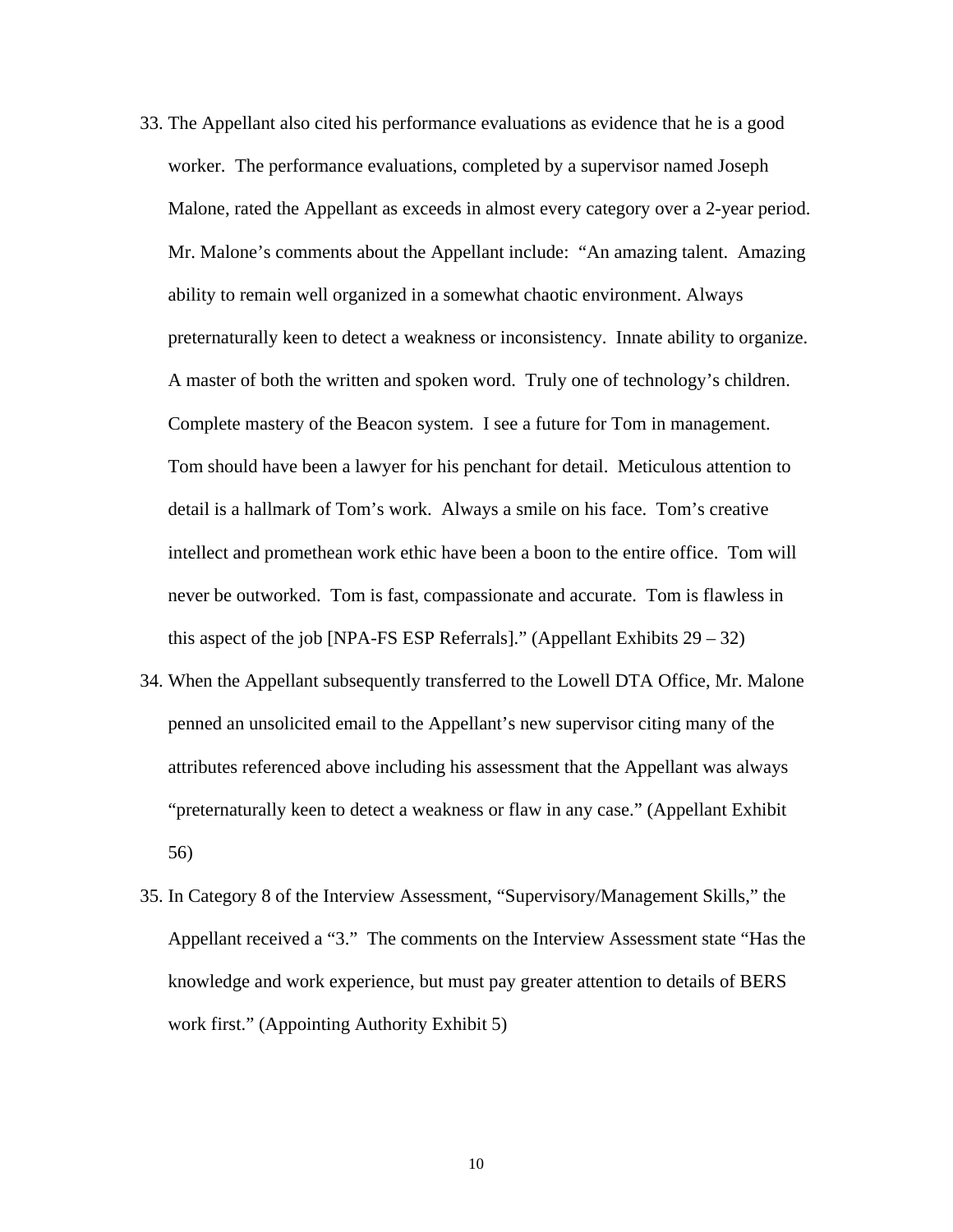- 33. The Appellant also cited his performance evaluations as evidence that he is a good worker. The performance evaluations, completed by a supervisor named Joseph Malone, rated the Appellant as exceeds in almost every category over a 2-year period. Mr. Malone's comments about the Appellant include: "An amazing talent. Amazing ability to remain well organized in a somewhat chaotic environment. Always preternaturally keen to detect a weakness or inconsistency. Innate ability to organize. A master of both the written and spoken word. Truly one of technology's children. Complete mastery of the Beacon system. I see a future for Tom in management. Tom should have been a lawyer for his penchant for detail. Meticulous attention to detail is a hallmark of Tom's work. Always a smile on his face. Tom's creative intellect and promethean work ethic have been a boon to the entire office. Tom will never be outworked. Tom is fast, compassionate and accurate. Tom is flawless in this aspect of the job [NPA-FS ESP Referrals]." (Appellant Exhibits  $29 - 32$ )
- 34. When the Appellant subsequently transferred to the Lowell DTA Office, Mr. Malone penned an unsolicited email to the Appellant's new supervisor citing many of the attributes referenced above including his assessment that the Appellant was always "preternaturally keen to detect a weakness or flaw in any case." (Appellant Exhibit 56)
- 35. In Category 8 of the Interview Assessment, "Supervisory/Management Skills," the Appellant received a "3." The comments on the Interview Assessment state "Has the knowledge and work experience, but must pay greater attention to details of BERS work first." (Appointing Authority Exhibit 5)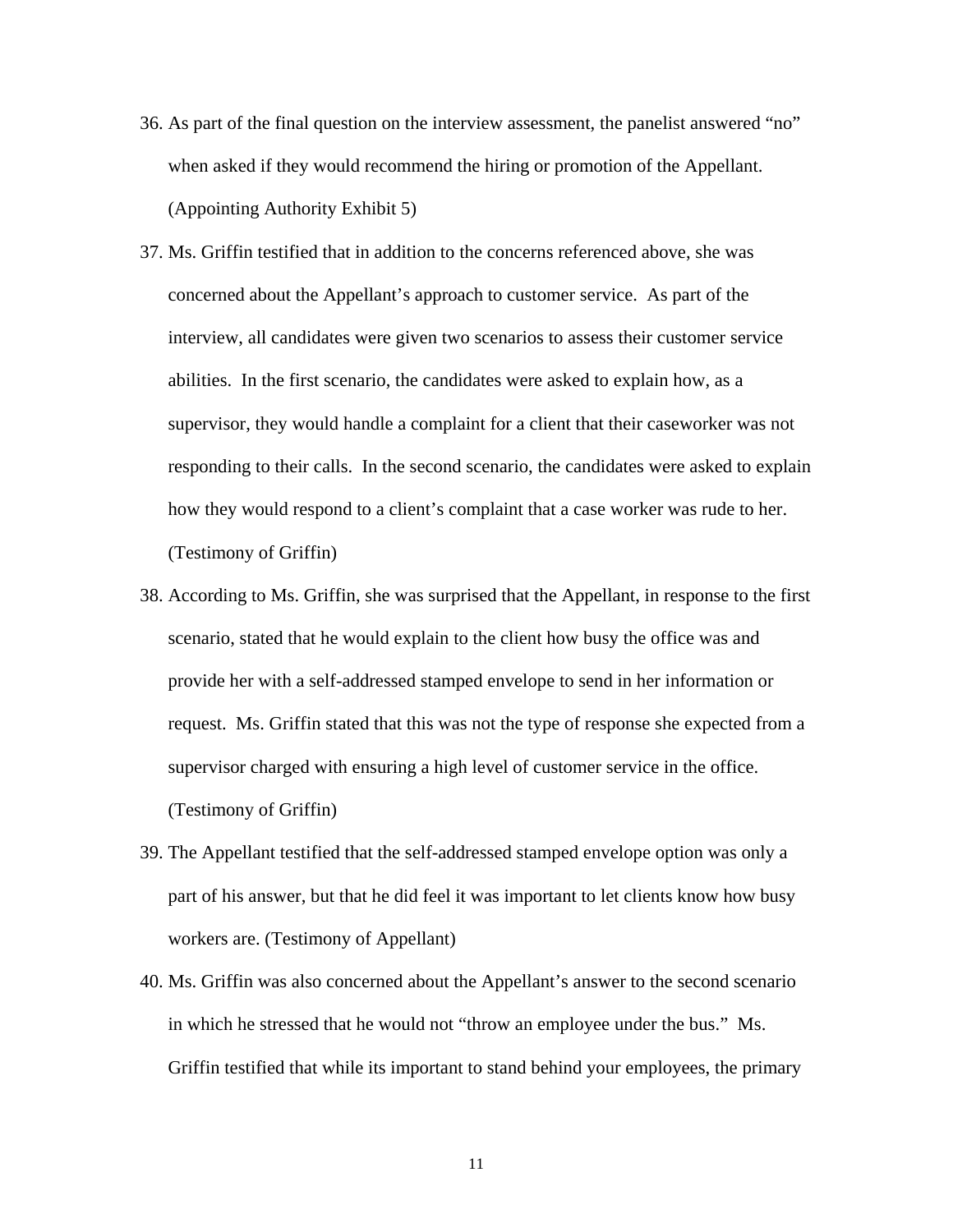- 36. As part of the final question on the interview assessment, the panelist answered "no" when asked if they would recommend the hiring or promotion of the Appellant. (Appointing Authority Exhibit 5)
- 37. Ms. Griffin testified that in addition to the concerns referenced above, she was concerned about the Appellant's approach to customer service. As part of the interview, all candidates were given two scenarios to assess their customer service abilities. In the first scenario, the candidates were asked to explain how, as a supervisor, they would handle a complaint for a client that their caseworker was not responding to their calls. In the second scenario, the candidates were asked to explain how they would respond to a client's complaint that a case worker was rude to her. (Testimony of Griffin)
- 38. According to Ms. Griffin, she was surprised that the Appellant, in response to the first scenario, stated that he would explain to the client how busy the office was and provide her with a self-addressed stamped envelope to send in her information or request. Ms. Griffin stated that this was not the type of response she expected from a supervisor charged with ensuring a high level of customer service in the office. (Testimony of Griffin)
- 39. The Appellant testified that the self-addressed stamped envelope option was only a part of his answer, but that he did feel it was important to let clients know how busy workers are. (Testimony of Appellant)
- 40. Ms. Griffin was also concerned about the Appellant's answer to the second scenario in which he stressed that he would not "throw an employee under the bus." Ms. Griffin testified that while its important to stand behind your employees, the primary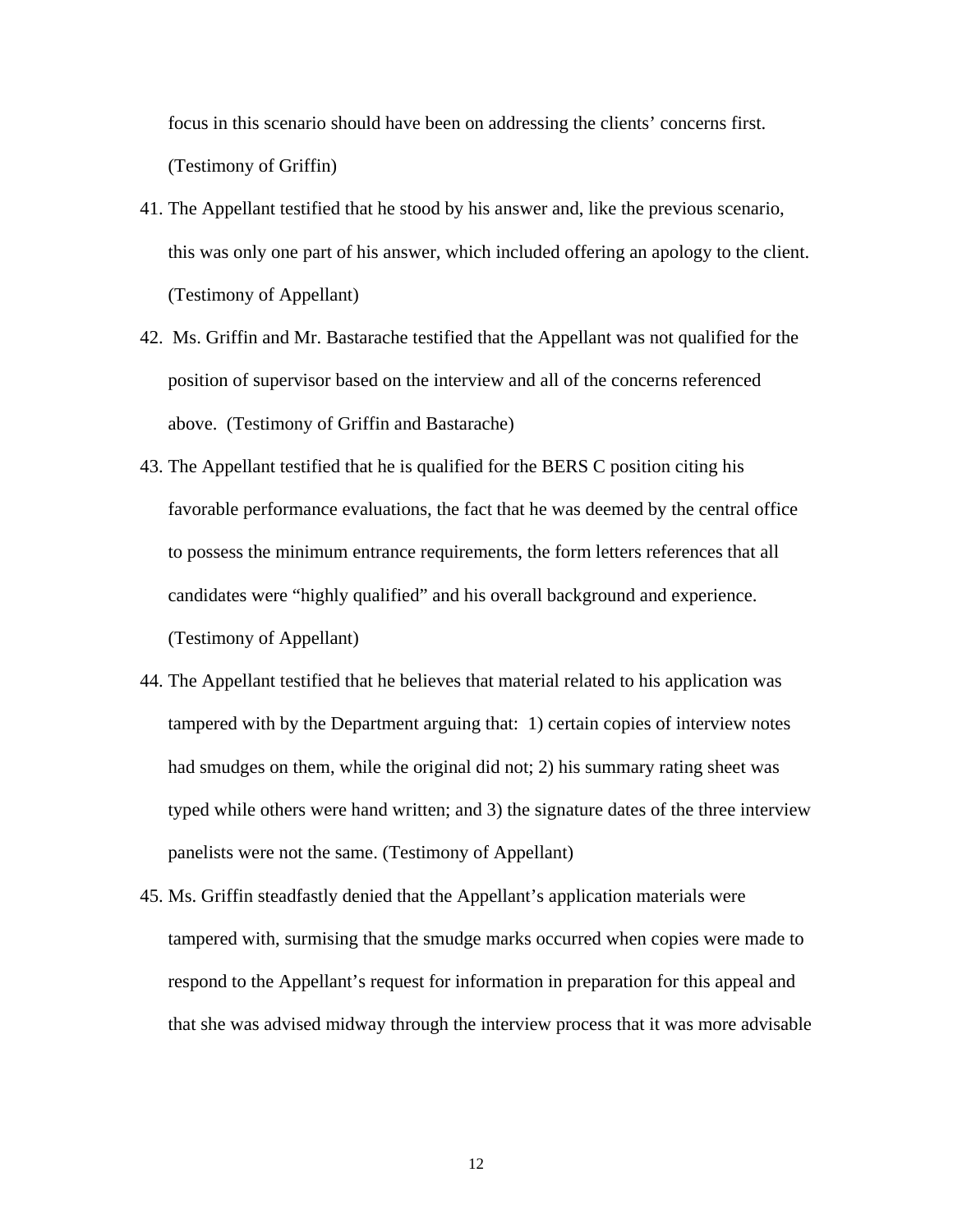focus in this scenario should have been on addressing the clients' concerns first. (Testimony of Griffin)

- 41. The Appellant testified that he stood by his answer and, like the previous scenario, this was only one part of his answer, which included offering an apology to the client. (Testimony of Appellant)
- 42. Ms. Griffin and Mr. Bastarache testified that the Appellant was not qualified for the position of supervisor based on the interview and all of the concerns referenced above. (Testimony of Griffin and Bastarache)
- 43. The Appellant testified that he is qualified for the BERS C position citing his favorable performance evaluations, the fact that he was deemed by the central office to possess the minimum entrance requirements, the form letters references that all candidates were "highly qualified" and his overall background and experience. (Testimony of Appellant)
- 44. The Appellant testified that he believes that material related to his application was tampered with by the Department arguing that: 1) certain copies of interview notes had smudges on them, while the original did not; 2) his summary rating sheet was typed while others were hand written; and 3) the signature dates of the three interview panelists were not the same. (Testimony of Appellant)
- 45. Ms. Griffin steadfastly denied that the Appellant's application materials were tampered with, surmising that the smudge marks occurred when copies were made to respond to the Appellant's request for information in preparation for this appeal and that she was advised midway through the interview process that it was more advisable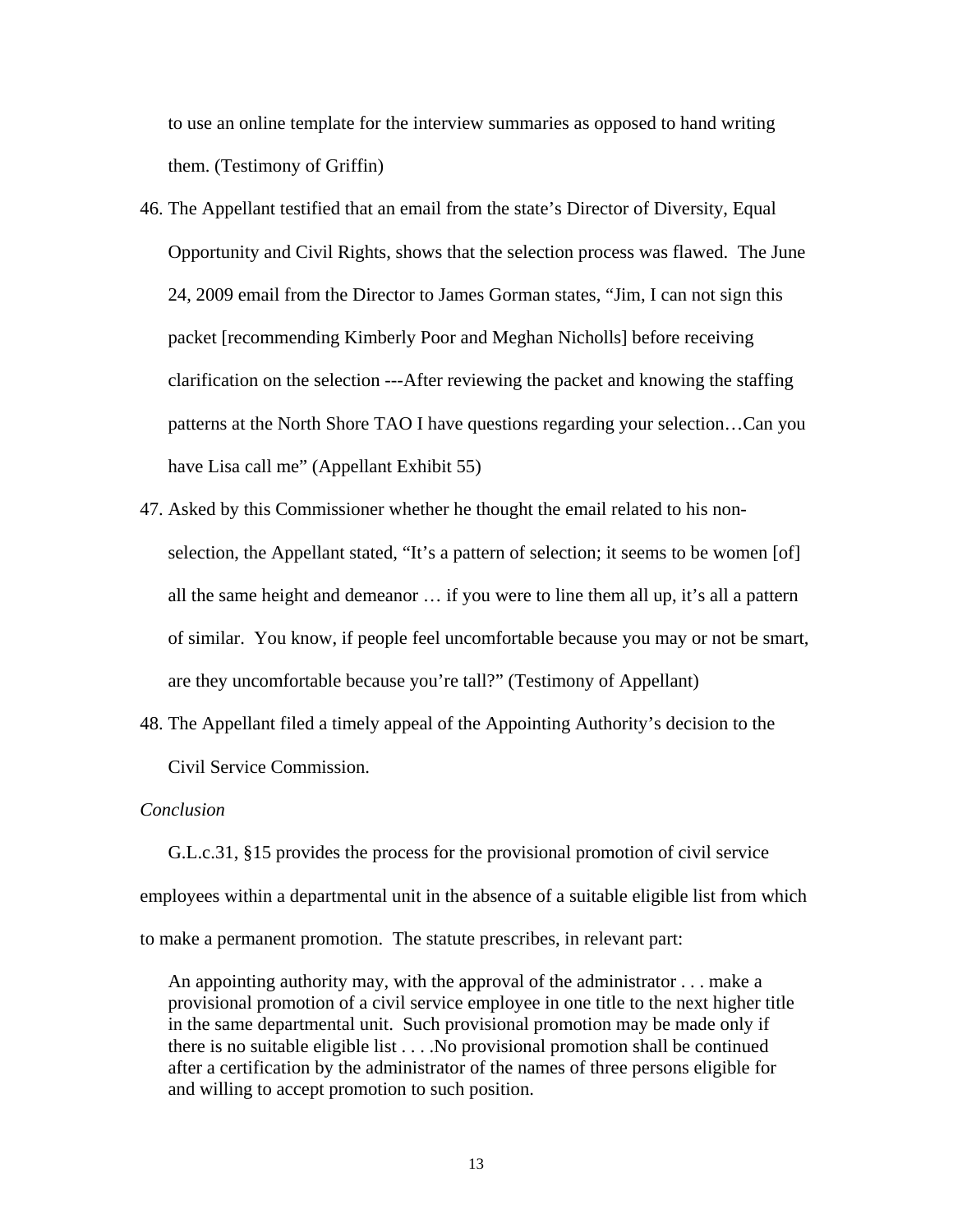to use an online template for the interview summaries as opposed to hand writing them. (Testimony of Griffin)

- 46. The Appellant testified that an email from the state's Director of Diversity, Equal Opportunity and Civil Rights, shows that the selection process was flawed. The June 24, 2009 email from the Director to James Gorman states, "Jim, I can not sign this packet [recommending Kimberly Poor and Meghan Nicholls] before receiving clarification on the selection ---After reviewing the packet and knowing the staffing patterns at the North Shore TAO I have questions regarding your selection…Can you have Lisa call me" (Appellant Exhibit 55)
- 47. Asked by this Commissioner whether he thought the email related to his nonselection, the Appellant stated, "It's a pattern of selection; it seems to be women [of] all the same height and demeanor … if you were to line them all up, it's all a pattern of similar. You know, if people feel uncomfortable because you may or not be smart, are they uncomfortable because you're tall?" (Testimony of Appellant)
- 48. The Appellant filed a timely appeal of the Appointing Authority's decision to the Civil Service Commission.

# *Conclusion*

G.L.c.31, §15 provides the process for the provisional promotion of civil service employees within a departmental unit in the absence of a suitable eligible list from which to make a permanent promotion. The statute prescribes, in relevant part:

An appointing authority may, with the approval of the administrator . . . make a provisional promotion of a civil service employee in one title to the next higher title in the same departmental unit. Such provisional promotion may be made only if there is no suitable eligible list . . . .No provisional promotion shall be continued after a certification by the administrator of the names of three persons eligible for and willing to accept promotion to such position.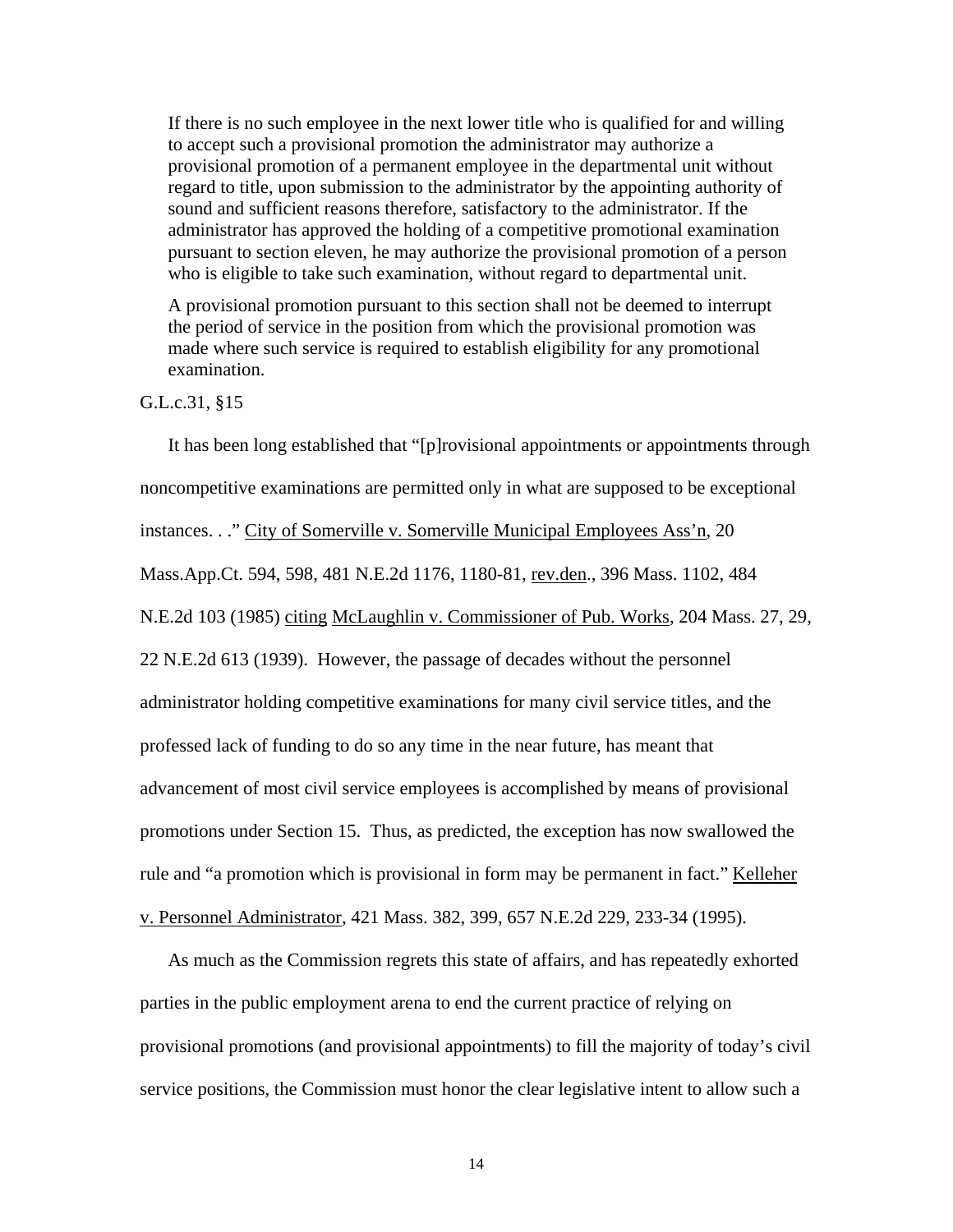If there is no such employee in the next lower title who is qualified for and willing to accept such a provisional promotion the administrator may authorize a provisional promotion of a permanent employee in the departmental unit without regard to title, upon submission to the administrator by the appointing authority of sound and sufficient reasons therefore, satisfactory to the administrator. If the administrator has approved the holding of a competitive promotional examination pursuant to section eleven, he may authorize the provisional promotion of a person who is eligible to take such examination, without regard to departmental unit.

A provisional promotion pursuant to this section shall not be deemed to interrupt the period of service in the position from which the provisional promotion was made where such service is required to establish eligibility for any promotional examination.

# G.L.c.31, §15

It has been long established that "[p]rovisional appointments or appointments through noncompetitive examinations are permitted only in what are supposed to be exceptional instances. . ." City of Somerville v. Somerville Municipal Employees Ass'n, 20 Mass.App.Ct. 594, 598, 481 N.E.2d 1176, 1180-81, rev.den., 396 Mass. 1102, 484 N.E.2d 103 (1985) citing McLaughlin v. Commissioner of Pub. Works, 204 Mass. 27, 29, 22 N.E.2d 613 (1939). However, the passage of decades without the personnel administrator holding competitive examinations for many civil service titles, and the professed lack of funding to do so any time in the near future, has meant that advancement of most civil service employees is accomplished by means of provisional promotions under Section 15. Thus, as predicted, the exception has now swallowed the rule and "a promotion which is provisional in form may be permanent in fact." Kelleher v. Personnel Administrator, 421 Mass. 382, 399, 657 N.E.2d 229, 233-34 (1995).

As much as the Commission regrets this state of affairs, and has repeatedly exhorted parties in the public employment arena to end the current practice of relying on provisional promotions (and provisional appointments) to fill the majority of today's civil service positions, the Commission must honor the clear legislative intent to allow such a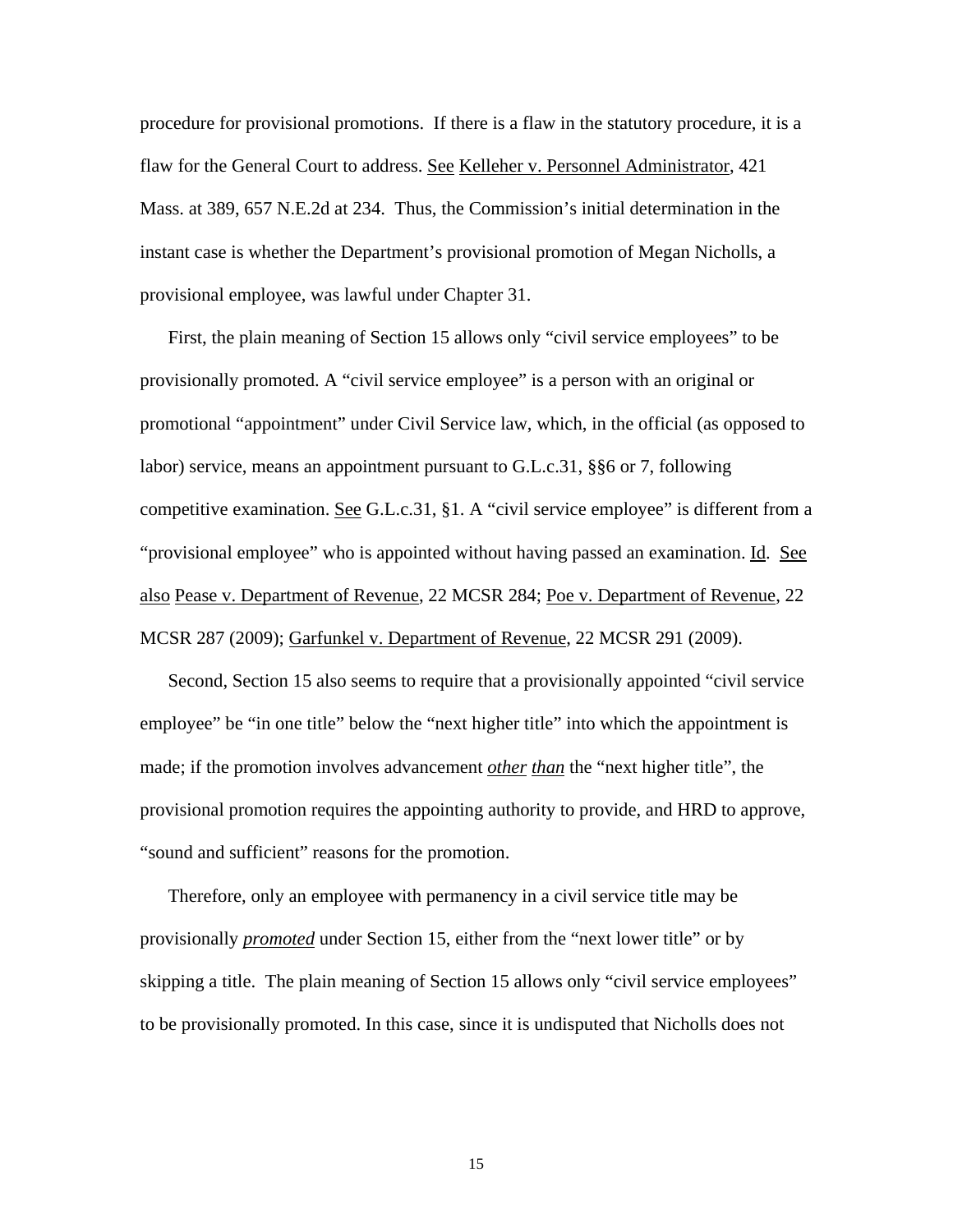procedure for provisional promotions. If there is a flaw in the statutory procedure, it is a flaw for the General Court to address. See Kelleher v. Personnel Administrator, 421 Mass. at 389, 657 N.E.2d at 234. Thus, the Commission's initial determination in the instant case is whether the Department's provisional promotion of Megan Nicholls, a provisional employee, was lawful under Chapter 31.

First, the plain meaning of Section 15 allows only "civil service employees" to be provisionally promoted. A "civil service employee" is a person with an original or promotional "appointment" under Civil Service law, which, in the official (as opposed to labor) service, means an appointment pursuant to G.L.c.31, §§6 or 7, following competitive examination. See G.L.c.31, §1. A "civil service employee" is different from a "provisional employee" who is appointed without having passed an examination. Id. See also Pease v. Department of Revenue, 22 MCSR 284; Poe v. Department of Revenue, 22 MCSR 287 (2009); Garfunkel v. Department of Revenue, 22 MCSR 291 (2009).

Second, Section 15 also seems to require that a provisionally appointed "civil service employee" be "in one title" below the "next higher title" into which the appointment is made; if the promotion involves advancement *other than* the "next higher title", the provisional promotion requires the appointing authority to provide, and HRD to approve, "sound and sufficient" reasons for the promotion.

Therefore, only an employee with permanency in a civil service title may be provisionally *promoted* under Section 15, either from the "next lower title" or by skipping a title. The plain meaning of Section 15 allows only "civil service employees" to be provisionally promoted. In this case, since it is undisputed that Nicholls does not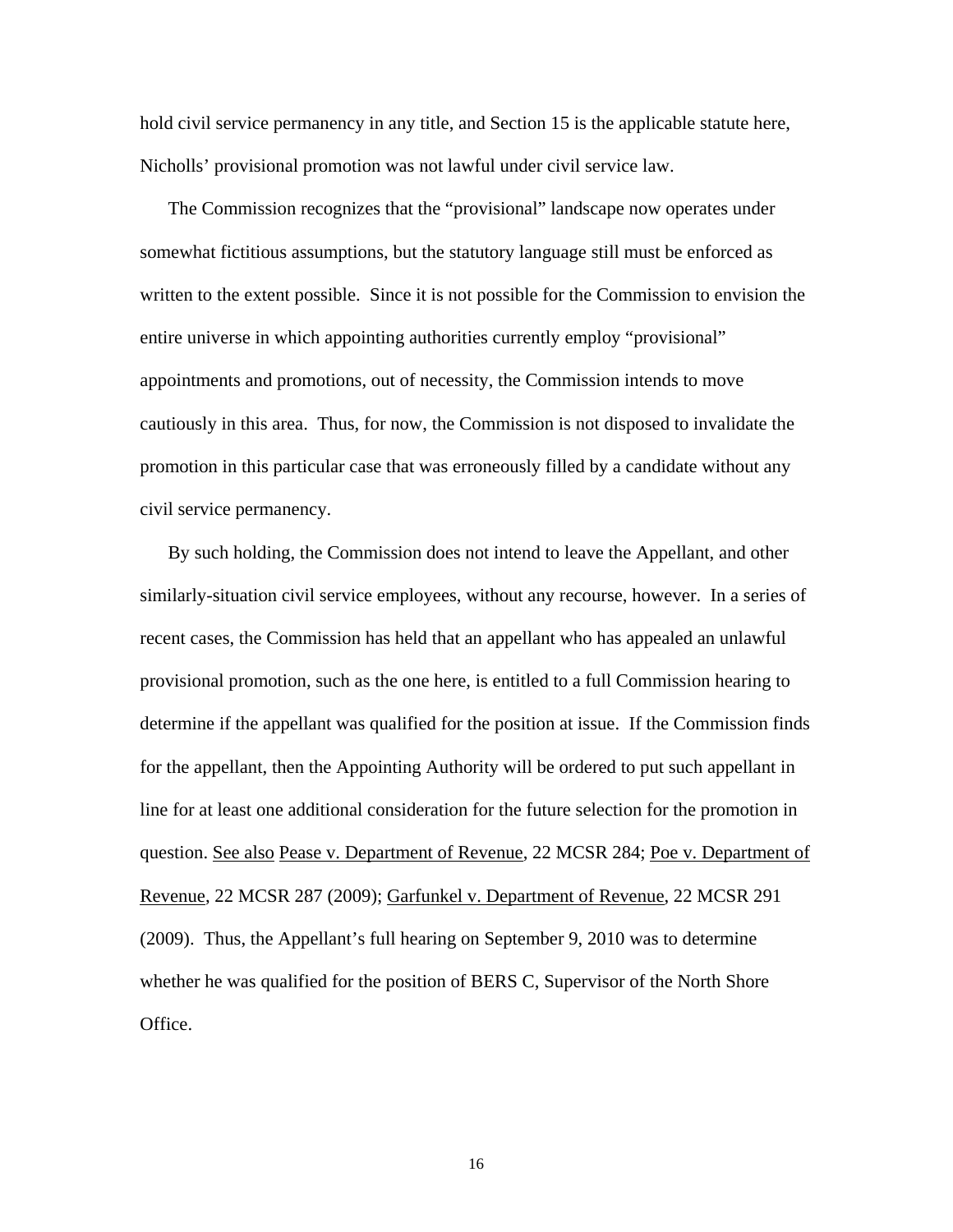hold civil service permanency in any title, and Section 15 is the applicable statute here, Nicholls' provisional promotion was not lawful under civil service law.

The Commission recognizes that the "provisional" landscape now operates under somewhat fictitious assumptions, but the statutory language still must be enforced as written to the extent possible. Since it is not possible for the Commission to envision the entire universe in which appointing authorities currently employ "provisional" appointments and promotions, out of necessity, the Commission intends to move cautiously in this area. Thus, for now, the Commission is not disposed to invalidate the promotion in this particular case that was erroneously filled by a candidate without any civil service permanency.

By such holding, the Commission does not intend to leave the Appellant, and other similarly-situation civil service employees, without any recourse, however. In a series of recent cases, the Commission has held that an appellant who has appealed an unlawful provisional promotion, such as the one here, is entitled to a full Commission hearing to determine if the appellant was qualified for the position at issue. If the Commission finds for the appellant, then the Appointing Authority will be ordered to put such appellant in line for at least one additional consideration for the future selection for the promotion in question. See also Pease v. Department of Revenue, 22 MCSR 284; Poe v. Department of Revenue, 22 MCSR 287 (2009); Garfunkel v. Department of Revenue, 22 MCSR 291 (2009). Thus, the Appellant's full hearing on September 9, 2010 was to determine whether he was qualified for the position of BERS C, Supervisor of the North Shore Office.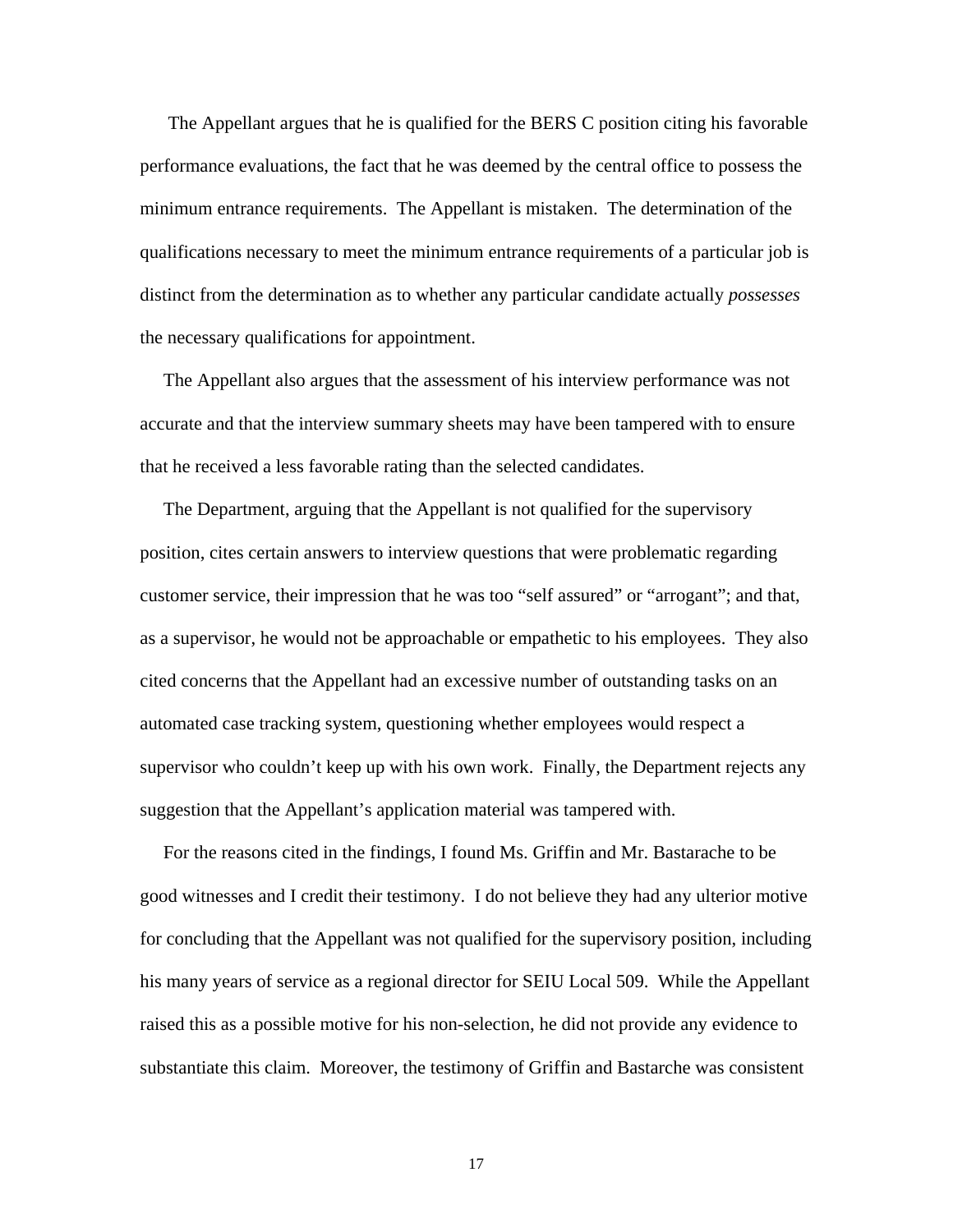The Appellant argues that he is qualified for the BERS C position citing his favorable performance evaluations, the fact that he was deemed by the central office to possess the minimum entrance requirements. The Appellant is mistaken. The determination of the qualifications necessary to meet the minimum entrance requirements of a particular job is distinct from the determination as to whether any particular candidate actually *possesses* the necessary qualifications for appointment.

 The Appellant also argues that the assessment of his interview performance was not accurate and that the interview summary sheets may have been tampered with to ensure that he received a less favorable rating than the selected candidates.

 The Department, arguing that the Appellant is not qualified for the supervisory position, cites certain answers to interview questions that were problematic regarding customer service, their impression that he was too "self assured" or "arrogant"; and that, as a supervisor, he would not be approachable or empathetic to his employees. They also cited concerns that the Appellant had an excessive number of outstanding tasks on an automated case tracking system, questioning whether employees would respect a supervisor who couldn't keep up with his own work. Finally, the Department rejects any suggestion that the Appellant's application material was tampered with.

 For the reasons cited in the findings, I found Ms. Griffin and Mr. Bastarache to be good witnesses and I credit their testimony. I do not believe they had any ulterior motive for concluding that the Appellant was not qualified for the supervisory position, including his many years of service as a regional director for SEIU Local 509. While the Appellant raised this as a possible motive for his non-selection, he did not provide any evidence to substantiate this claim. Moreover, the testimony of Griffin and Bastarche was consistent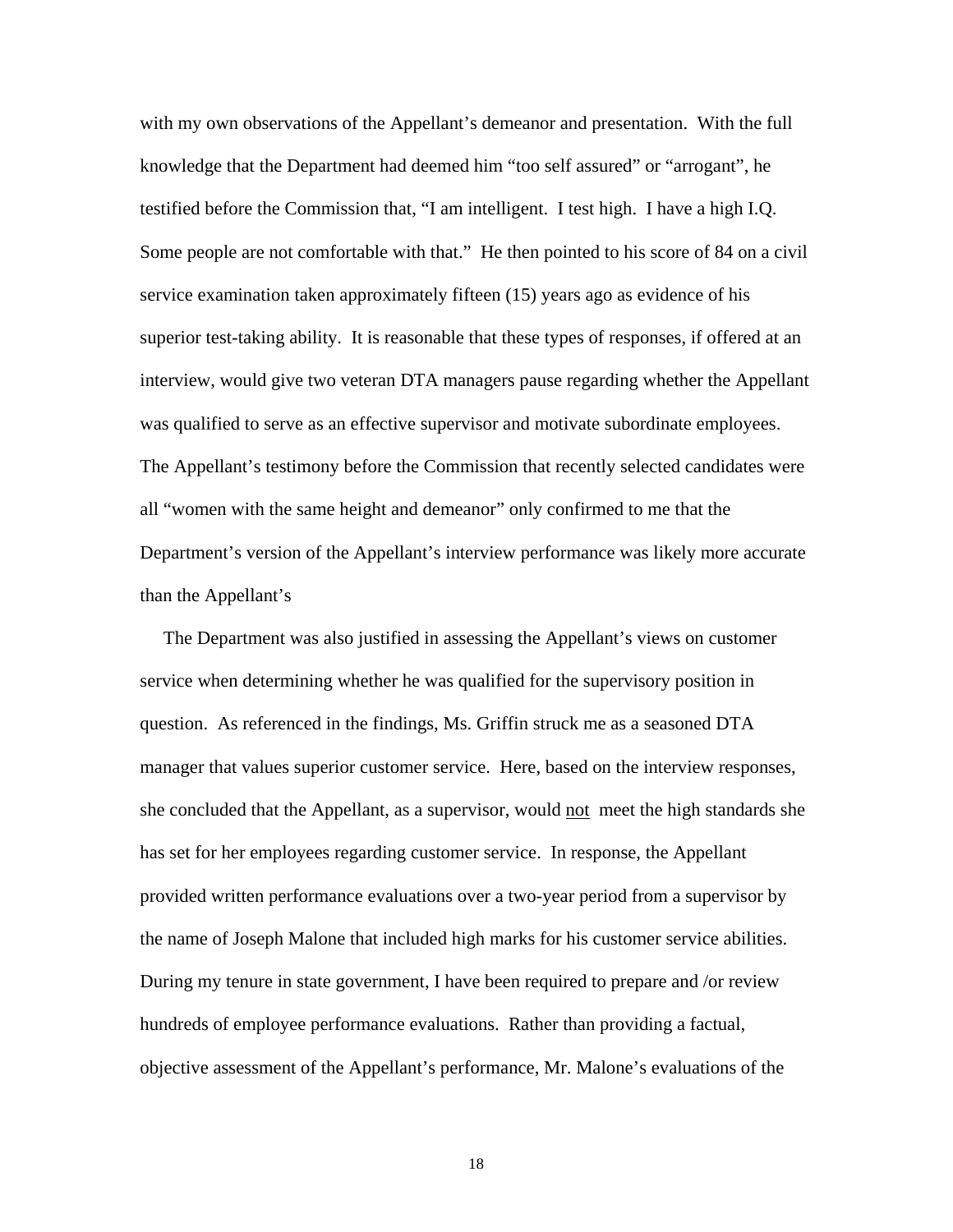with my own observations of the Appellant's demeanor and presentation. With the full knowledge that the Department had deemed him "too self assured" or "arrogant", he testified before the Commission that, "I am intelligent. I test high. I have a high I.Q. Some people are not comfortable with that." He then pointed to his score of 84 on a civil service examination taken approximately fifteen (15) years ago as evidence of his superior test-taking ability. It is reasonable that these types of responses, if offered at an interview, would give two veteran DTA managers pause regarding whether the Appellant was qualified to serve as an effective supervisor and motivate subordinate employees. The Appellant's testimony before the Commission that recently selected candidates were all "women with the same height and demeanor" only confirmed to me that the Department's version of the Appellant's interview performance was likely more accurate than the Appellant's

 The Department was also justified in assessing the Appellant's views on customer service when determining whether he was qualified for the supervisory position in question. As referenced in the findings, Ms. Griffin struck me as a seasoned DTA manager that values superior customer service. Here, based on the interview responses, she concluded that the Appellant, as a supervisor, would not meet the high standards she has set for her employees regarding customer service. In response, the Appellant provided written performance evaluations over a two-year period from a supervisor by the name of Joseph Malone that included high marks for his customer service abilities. During my tenure in state government, I have been required to prepare and /or review hundreds of employee performance evaluations. Rather than providing a factual, objective assessment of the Appellant's performance, Mr. Malone's evaluations of the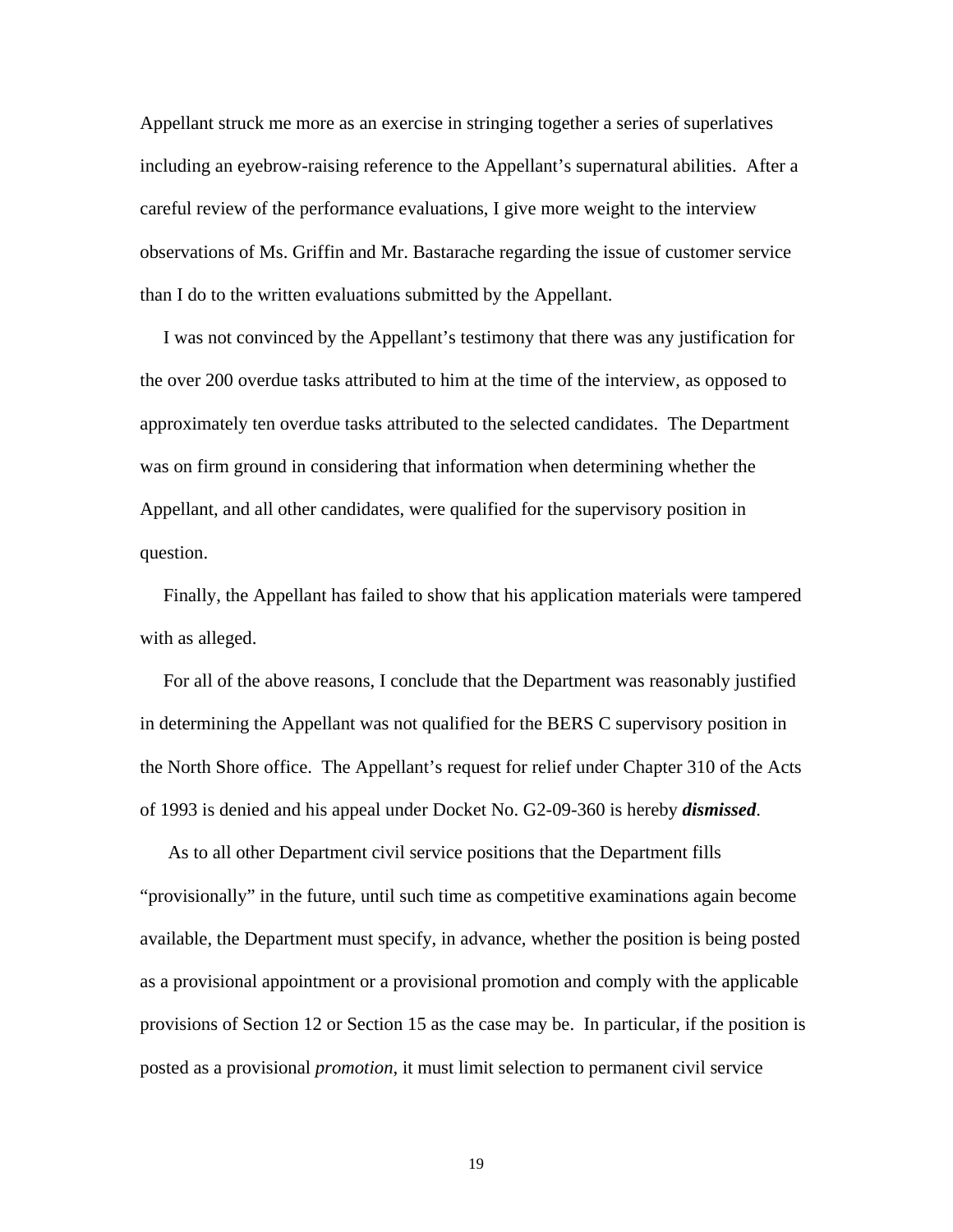Appellant struck me more as an exercise in stringing together a series of superlatives including an eyebrow-raising reference to the Appellant's supernatural abilities. After a careful review of the performance evaluations, I give more weight to the interview observations of Ms. Griffin and Mr. Bastarache regarding the issue of customer service than I do to the written evaluations submitted by the Appellant.

 I was not convinced by the Appellant's testimony that there was any justification for the over 200 overdue tasks attributed to him at the time of the interview, as opposed to approximately ten overdue tasks attributed to the selected candidates. The Department was on firm ground in considering that information when determining whether the Appellant, and all other candidates, were qualified for the supervisory position in question.

 Finally, the Appellant has failed to show that his application materials were tampered with as alleged.

 For all of the above reasons, I conclude that the Department was reasonably justified in determining the Appellant was not qualified for the BERS C supervisory position in the North Shore office. The Appellant's request for relief under Chapter 310 of the Acts of 1993 is denied and his appeal under Docket No. G2-09-360 is hereby *dismissed*.

 As to all other Department civil service positions that the Department fills "provisionally" in the future, until such time as competitive examinations again become available, the Department must specify, in advance, whether the position is being posted as a provisional appointment or a provisional promotion and comply with the applicable provisions of Section 12 or Section 15 as the case may be. In particular, if the position is posted as a provisional *promotion*, it must limit selection to permanent civil service